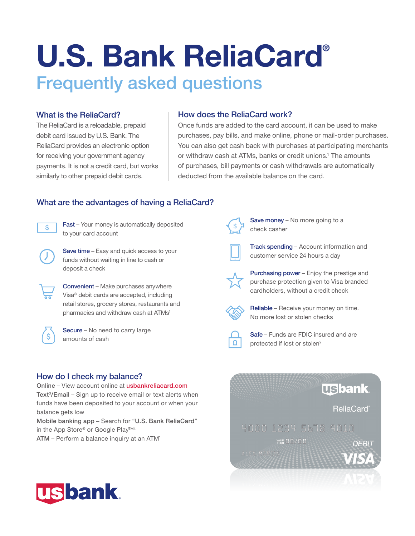# U.S. Bank ReliaCard® Frequently asked questions

#### What is the ReliaCard? How does the ReliaCard work?

The ReliaCard is a reloadable, prepaid  $\Box$  Once funds are added to the card account, it can be used to make debit card issued by U.S. Bank. The purchases, pay bills, and make online, phone or mail-order purchases. ReliaCard provides an electronic option You can also get cash back with purchases at participating merchants for receiving your government agency or withdraw cash at ATMs, banks or credit unions.<sup>1</sup> The amounts payments. It is not a credit card, but works of purchases, bill payments or cash withdrawals are automatically similarly to other prepaid debit cards. deducted from the available balance on the card.

# What are the advantages of having a ReliaCard?<br>  $\begin{array}{|l|l|}\n\hline\n\odot\quad\quad\text{Fast - Your money is automatically deposited} & \\\hline\n\end{array}$

to your card account

Save time – Easy and quick access to your funds without waiting in line to cash or deposit a check

Convenient – Make purchases anywhere Visa® debit cards are accepted, including retail stores, grocery stores, restaurants and pharmacies and withdraw cash at ATMs<sup>1</sup>



Secure – No need to carry large amounts of cash

#### How do I check my balance?

Online – View account online at [usbankreliacard.com](https://usbankreliacard.com)  Text<sup>3</sup>/Email – Sign up to receive email or text alerts when funds have been deposited to your account or when your balance gets low

Mobile banking app – Search for "U.S. Bank ReliaCard" in the App Store® or Google Play<sup>™4</sup>

ATM – Perform a balance inquiry at an ATM1



Save money - No more going to a check casher



Track spending – Account information and customer service 24 hours a day



Purchasing power – Enjoy the prestige and purchase protection given to Visa branded cardholders, without a credit check



Reliable – Receive your money on time. No more lost or stolen checks



Safe – Funds are FDIC insured and are protected if lost or stolen<sup>2</sup>

## **Usbank ReliaCard**® YALID 00/00 **DEBIT**

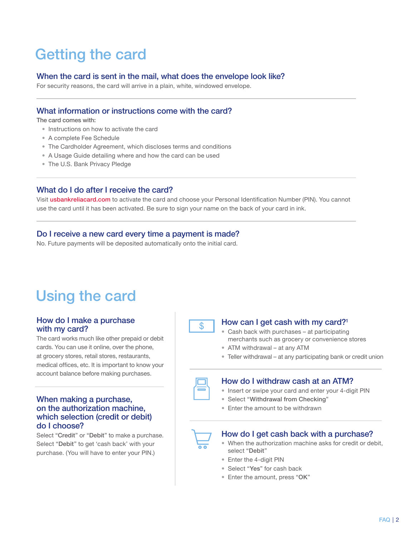## Getting the card

#### When the card is sent in the mail, what does the envelope look like?

For security reasons, the card will arrive in a plain, white, windowed envelope.

### What information or instructions come with the card?

The card comes with:

- Instructions on how to activate the card
- A complete Fee Schedule
- The Cardholder Agreement, which discloses terms and conditions
- A Usage Guide detailing where and how the card can be used
- The U.S. Bank Privacy Pledge

#### What do I do after I receive the card?

Visit [usbankreliacard.com](https://usbankreliacard.com) to activate the card and choose your Personal Identification Number (PIN). You cannot use the card until it has been activated. Be sure to sign your name on the back of your card in ink.

#### Do I receive a new card every time a payment is made?

No. Future payments will be deposited automatically onto the initial card.

### Using the card

#### How do I make a purchase with my card?

The card works much like other prepaid or debit cards. You can use it online, over the phone, at grocery stores, retail stores, restaurants, medical offices, etc. It is important to know your account balance before making purchases.

#### When making a purchase, on the authorization machine, which selection (credit or debit) do I choose?

Select "Credit" or "Debit" to make a purchase. Select "Debit" to get 'cash back' with your purchase. (You will have to enter your PIN.)



#### How can I get cash with my card?<sup>1</sup>

- • Cash back with purchases at participating merchants such as grocery or convenience stores
- ATM withdrawal at any ATM
- Teller withdrawal at any participating bank or credit union



#### How do I withdraw cash at an ATM?

- Insert or swipe your card and enter your 4-digit PIN
- Select "Withdrawal from Checking"
- Enter the amount to be withdrawn



#### How do I get cash back with a purchase?

- • When the authorization machine asks for credit or debit, select "Debit"
- Enter the 4-digit PIN
- Select "Yes" for cash back
- Enter the amount, press "OK"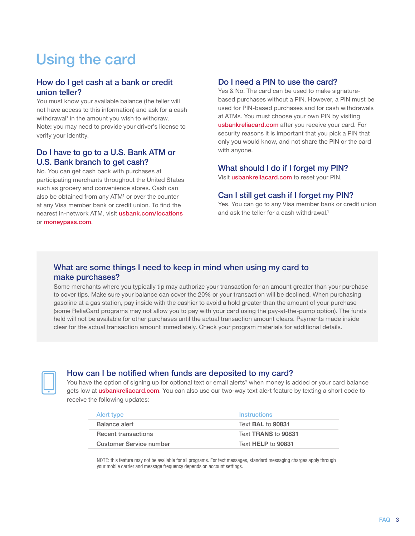## Using the card

#### How do I get cash at a bank or credit union teller?

You must know your available balance (the teller will not have access to this information) and ask for a cash withdrawal<sup>1</sup> in the amount you wish to withdraw. Note: you may need to provide your driver's license to verify your identity.

#### Do I have to go to a U.S. Bank ATM or U.S. Bank branch to get cash?

No. You can get cash back with purchases at participating merchants throughout the United States such as grocery and convenience stores. Cash can also be obtained from any ATM<sup>1</sup> or over the counter at any Visa member bank or credit union. To find the nearest in-network ATM, visit [usbank.com/locations](https://usbank.com/locations)  or [moneypass.com](https://moneypass.com).

#### Do I need a PIN to use the card?

Yes & No. The card can be used to make signaturebased purchases without a PIN. However, a PIN must be used for PIN-based purchases and for cash withdrawals at ATMs. You must choose your own PIN by visiting [usbankreliacard.com](https://usbankreliacard.com) after you receive your card. For security reasons it is important that you pick a PIN that only you would know, and not share the PIN or the card with anyone.

#### What should I do if I forget my PIN?

Visit **[usbankreliacard.com](https://usbankreliacard.com)** to reset your PIN.

#### Can I still get cash if I forget my PIN?

Yes. You can go to any Visa member bank or credit union and ask the teller for a cash withdrawal.<sup>1</sup>

### What are some things I need to keep in mind when using my card to make purchases?

Some merchants where you typically tip may authorize your transaction for an amount greater than your purchase to cover tips. Make sure your balance can cover the 20% or your transaction will be declined. When purchasing gasoline at a gas station, pay inside with the cashier to avoid a hold greater than the amount of your purchase (some ReliaCard programs may not allow you to pay with your card using the pay-at-the-pump option). The funds held will not be available for other purchases until the actual transaction amount clears. Payments made inside clear for the actual transaction amount immediately. Check your program materials for additional details.



#### How can I be notified when funds are deposited to my card?

You have the option of signing up for optional text or email alerts<sup>3</sup> when money is added or your card balance gets low at [usbankreliacard.com](https://usbankreliacard.com). You can also use our two-way text alert feature by texting a short code to receive the following updates:

| Alert type                 | <b>Instructions</b>      |
|----------------------------|--------------------------|
| Balance alert              | Text <b>BAL</b> to 90831 |
| <b>Recent transactions</b> | Text TRANS to 90831      |
| Customer Service number    | Text HELP to 90831       |

NOTE: this feature may not be available for all programs. For text messages, standard messaging charges apply through your mobile carrier and message frequency depends on account settings.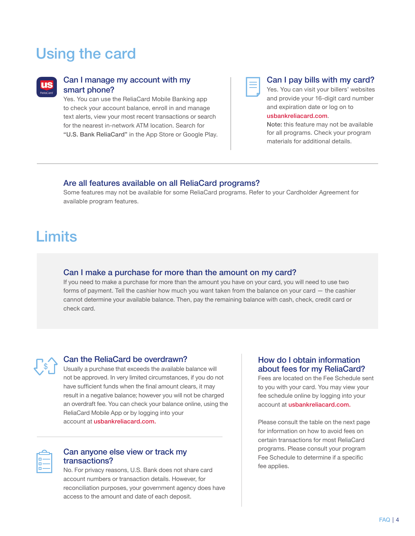### Using the card



#### Can I manage my account with my smart phone?

 for the nearest in-network ATM location. Search for Yes. You can use the ReliaCard Mobile Banking app to check your account balance, enroll in and manage text alerts, view your most recent transactions or search "U.S. Bank ReliaCard" in the App Store or Google Play.

#### Can I pay bills with my card?

Yes. You can visit your billers' websites and provide your 16-digit card number and expiration date or log on to

#### [usbankreliacard.com](https://usbankreliacard.com).

Note: this feature may not be available for all programs. Check your program materials for additional details.

#### Are all features available on all ReliaCard programs?

Some features may not be available for some ReliaCard programs. Refer to your Cardholder Agreement for available program features.

### **Limits**

#### Can I make a purchase for more than the amount on my card?

If you need to make a purchase for more than the amount you have on your card, you will need to use two forms of payment. Tell the cashier how much you want taken from the balance on your card - the cashier cannot determine your available balance. Then, pay the remaining balance with cash, check, credit card or check card.



#### Can the ReliaCard be overdrawn?

 ReliaCard Mobile App or by logging into your Usually a purchase that exceeds the available balance will not be approved. In very limited circumstances, if you do not have sufficient funds when the final amount clears, it may result in a negative balance; however you will not be charged an overdraft fee. You can check your balance online, using the account at [usbankreliacard.com.](https://usbankreliacard.com)

#### Can anyone else view or track my transactions?

No. For privacy reasons, U.S. Bank does not share card account numbers or transaction details. However, for reconciliation purposes, your government agency does have access to the amount and date of each deposit.

#### How do I obtain information about fees for my ReliaCard?

account at *[usbankreliacard.com](https://usbankreliacard.com).* Fees are located on the Fee Schedule sent to you with your card. You may view your fee schedule online by logging into your

Please consult the table on the next page for information on how to avoid fees on certain transactions for most ReliaCard programs. Please consult your program Fee Schedule to determine if a specific fee applies.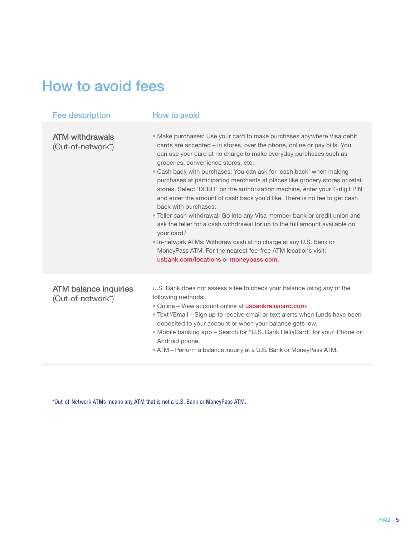### How to avoid fees

| <b>Fee description</b>                            | How to avoid                                                                                                                                                                                                                                                                                                                                                                                                                                                                                                                                                                                                                                                                                                                                                                                                                                                                                                                                                                    |
|---------------------------------------------------|---------------------------------------------------------------------------------------------------------------------------------------------------------------------------------------------------------------------------------------------------------------------------------------------------------------------------------------------------------------------------------------------------------------------------------------------------------------------------------------------------------------------------------------------------------------------------------------------------------------------------------------------------------------------------------------------------------------------------------------------------------------------------------------------------------------------------------------------------------------------------------------------------------------------------------------------------------------------------------|
| <b>ATM</b> withdrawals<br>(Out-of-network*)       | • Make purchases: Use your card to make purchases anywhere Visa debit<br>cards are accepted – in stores, over the phone, online or pay bills. You<br>can use your card at no charge to make everyday purchases such as<br>groceries, convenience stores, etc.<br>• Cash back with purchases: You can ask for 'cash back' when making<br>purchases at participating merchants at places like grocery stores or retail<br>stores. Select 'DEBIT' on the authorization machine, enter your 4-digit PIN<br>and enter the amount of cash back you'd like. There is no fee to get cash<br>back with purchases.<br>• Teller cash withdrawal: Go into any Visa member bank or credit union and<br>ask the teller for a cash withdrawal for up to the full amount available on<br>your card. <sup>1</sup><br>• In-network ATMs: Withdraw cash at no charge at any U.S. Bank or<br>MoneyPass ATM. For the nearest fee-free ATM locations visit:<br>usbank.com/locations or moneypass.com. |
| <b>ATM balance inquiries</b><br>(Out-of-network*) | U.S. Bank does not assess a fee to check your balance using any of the<br>following methods:<br>. Online - View account online at usbankreliacard.com.<br>• Text <sup>3</sup> /Email – Sign up to receive email or text alerts when funds have been<br>deposited to your account or when your balance gets low.<br>. Mobile banking app - Search for "U.S. Bank ReliaCard" for your iPhone or<br>Android phone.<br>• ATM – Perform a balance inquiry at a U.S. Bank or MoneyPass ATM.                                                                                                                                                                                                                                                                                                                                                                                                                                                                                           |

\*Out-of-Network ATMs means any ATM that is not a U.S. Bank or MoneyPass ATM.